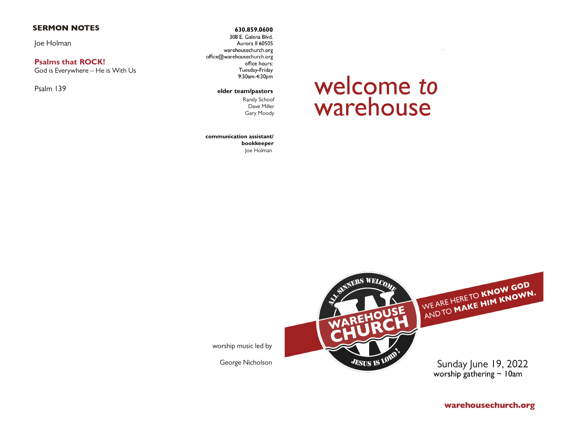## **SERMON NOTES**

Joe Holman

## **Psalms that ROCK!**

God is Everywhere – He is With Us

Psalm 139

630.859.0600 308 E. Galena Blvd. Aurora II 60505 warehousechurch.org office@warehousechurch.org office hours: Tuesday-Friday 9:30am-4:30pm

#### elder team/pastors

Randy Schoof Dave Miller Gary Moody

#### **communication assistant/ bookkeeper** Joe Holman

# welcome to warehouse



worship music led by

George Nicholson

warehousechurch.org